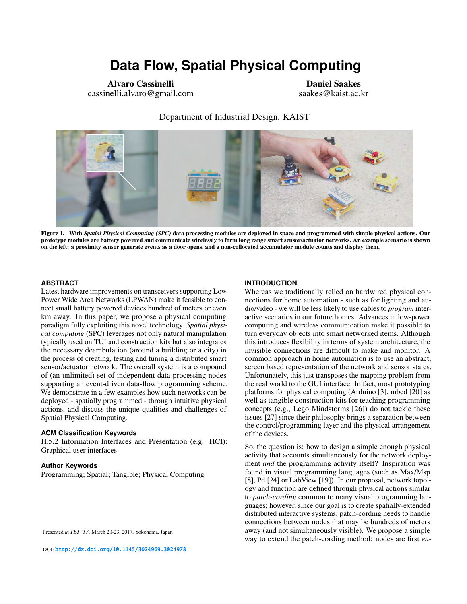# **Data Flow, Spatial Physical Computing**

Alvaro Cassinelli cassinelli.alvaro@gmail.com

Daniel Saakes saakes@kaist.ac.kr

Department of Industrial Design. KAIST



Figure 1. With *Spatial Physical Computing (SPC)* data processing modules are deployed in space and programmed with simple physical actions. Our prototype modules are battery powered and communicate wirelessly to form long range smart sensor/actuator networks. An example scenario is shown on the left: a proximity sensor generate events as a door opens, and a non-collocated accumulator module counts and display them.

## <span id="page-0-0"></span>**ABSTRACT**

Latest hardware improvements on transceivers supporting Low Power Wide Area Networks (LPWAN) make it feasible to connect small battery powered devices hundred of meters or even km away. In this paper, we propose a physical computing paradigm fully exploiting this novel technology. *Spatial physical computing* (SPC) leverages not only natural manipulation typically used on TUI and construction kits but also integrates the necessary deambulation (around a building or a city) in the process of creating, testing and tuning a distributed smart sensor/actuator network. The overall system is a compound of (an unlimited) set of independent data-processing nodes supporting an event-driven data-flow programming scheme. We demonstrate in a few examples how such networks can be deployed - spatially programmed - through intuitive physical actions, and discuss the unique qualities and challenges of Spatial Physical Computing.

## **ACM Classification Keywords**

H.5.2 Information Interfaces and Presentation (e.g. HCI): Graphical user interfaces.

#### **Author Keywords**

Programming; Spatial; Tangible; Physical Computing

#### **INTRODUCTION**

Whereas we traditionally relied on hardwired physical connections for home automation - such as for lighting and audio/video - we will be less likely to use cables to *program* interactive scenarios in our future homes. Advances in low-power computing and wireless communication make it possible to turn everyday objects into smart networked items. Although this introduces flexibility in terms of system architecture, the invisible connections are difficult to make and monitor. A common approach in home automation is to use an abstract, screen based representation of the network and sensor states. Unfortunately, this just transposes the mapping problem from the real world to the GUI interface. In fact, most prototyping platforms for physical computing (Arduino [\[3\]](#page-5-0), mbed [\[20\]](#page-5-1) as well as tangible construction kits for teaching programming concepts (e.g., Lego Mindstorms [\[26\]](#page-6-0)) do not tackle these issues [\[27\]](#page-6-1) since their philosophy brings a separation between the control/programming layer and the physical arrangement of the devices.

So, the question is: how to design a simple enough physical activity that accounts simultaneously for the network deployment *and* the programming activity itself? Inspiration was found in visual programming languages (such as Max/Msp [\[8\]](#page-5-2), Pd [\[24\]](#page-6-2) or LabView [\[19\]](#page-5-3)). In our proposal, network topology and function are defined through physical actions similar to *patch-cording* common to many visual programming languages; however, since our goal is to create spatially-extended distributed interactive systems, patch-cording needs to handle connections between nodes that may be hundreds of meters away (and not simultaneously visible). We propose a simple way to extend the patch-cording method: nodes are first *en-*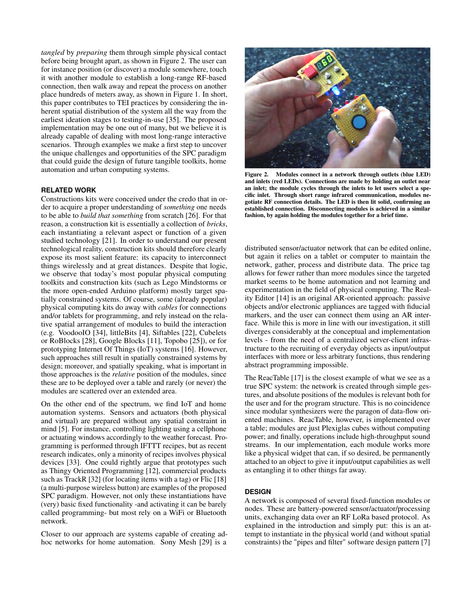*tangled* by *preparing* them through simple physical contact before being brought apart, as shown in Figure [2.](#page-1-0) The user can for instance position (or discover) a module somewhere, touch it with another module to establish a long-range RF-based connection, then walk away and repeat the process on another place hundreds of meters away, as shown in Figure [1.](#page-0-0) In short, this paper contributes to TEI practices by considering the inherent spatial distribution of the system all the way from the earliest ideation stages to testing-in-use [\[35\]](#page-6-3). The proposed implementation may be one out of many, but we believe it is already capable of dealing with most long-range interactive scenarios. Through examples we make a first step to uncover the unique challenges and opportunities of the SPC paradigm that could guide the design of future tangible toolkits, home automation and urban computing systems.

# **RELATED WORK**

Constructions kits were conceived under the credo that in order to acquire a proper understanding of *something* one needs to be able to *build that something* from scratch [\[26\]](#page-6-0). For that reason, a construction kit is essentially a collection of *bricks*, each instantiating a relevant aspect or function of a given studied technology [\[21\]](#page-6-4). In order to understand our present technological reality, construction kits should therefore clearly expose its most salient feature: its capacity to interconnect things wirelessly and at great distances. Despite that logic, we observe that today's most popular physical computing toolkits and construction kits (such as Lego Mindstorms or the more open-ended Arduino platform) mostly target spatially constrained systems. Of course, some (already popular) physical computing kits do away with *cables* for connections and/or tablets for programming, and rely instead on the relative spatial arrangement of modules to build the interaction (e.g. VoodooIO [\[34\]](#page-6-5), littleBits [\[4\]](#page-5-4), Siftables [\[22\]](#page-6-6), Cubelets or RoBlocks [\[28\]](#page-6-7), Google Blocks [\[11\]](#page-5-5), Topobo [\[25\]](#page-6-8)), or for prototyping Internet Of Things (IoT) systems [\[16\]](#page-5-6). However, such approaches still result in spatially constrained systems by design; moreover, and spatially speaking, what is important in those approaches is the *relative* position of the modules, since these are to be deployed over a table and rarely (or never) the modules are scattered over an extended area.

On the other end of the spectrum, we find IoT and home automation systems. Sensors and actuators (both physical and virtual) are prepared without any spatial constraint in mind [\[5\]](#page-5-7). For instance, controlling lighting using a cellphone or actuating windows accordingly to the weather forecast. Programming is performed through IFTTT recipes, but as recent research indicates, only a minority of recipes involves physical devices [\[33\]](#page-6-9). One could rightly argue that prototypes such as Thingy Oriented Programming [\[12\]](#page-5-8), commercial products such as TrackR [\[32\]](#page-6-10) (for locating items with a tag) or Flic [\[18\]](#page-5-9) (a multi-purpose wireless button) are examples of the proposed SPC paradigm. However, not only these instantiations have (very) basic fixed functionality -and activating it can be barely called programming- but most rely on a WiFi or Bluetooth network.

Closer to our approach are systems capable of creating adhoc networks for home automation. Sony Mesh [\[29\]](#page-6-11) is a



Figure 2. Modules connect in a network through outlets (blue LED) and inlets (red LEDs). Connections are made by holding an outlet near an inlet; the module cycles through the inlets to let users select a specific inlet. Through short range infrared communication, modules negotiate RF connection details. The LED is then lit solid, confirming an established connection. Disconnecting modules is achieved in a similar fashion, by again holding the modules together for a brief time.

<span id="page-1-0"></span>distributed sensor/actuator network that can be edited online, but again it relies on a tablet or computer to maintain the network, gather, process and distribute data. The price tag allows for fewer rather than more modules since the targeted market seems to be home automation and not learning and experimentation in the field of physical computing. The Reality Editor [\[14\]](#page-5-10) is an original AR-oriented approach: passive objects and/or electronic appliances are tagged with fiducial markers, and the user can connect them using an AR interface. While this is more in line with our investigation, it still diverges considerably at the conceptual and implementation levels - from the need of a centralized server-client infrastructure to the recruiting of everyday objects as input/output interfaces with more or less arbitrary functions, thus rendering abstract programming impossible.

The ReacTable [\[17\]](#page-5-11) is the closest example of what we see as a true SPC system: the network is created through simple gestures, and absolute positions of the modules is relevant both for the user and for the program structure. This is no coincidence since modular synthesizers were the paragon of data-flow oriented machines. ReacTable, however, is implemented over a table; modules are just Plexiglas cubes without computing power; and finally, operations include high-throughput sound streams. In our implementation, each module works more like a physical widget that can, if so desired, be permanently attached to an object to give it input/output capabilities as well as entangling it to other things far away.

### **DESIGN**

A network is composed of several fixed-function modules or nodes. These are battery-powered sensor/actuator/processing units, exchanging data over an RF LoRa based protocol. As explained in the introduction and simply put: this is an attempt to instantiate in the physical world (and without spatial constraints) the "pipes and filter" software design pattern [\[7\]](#page-5-12)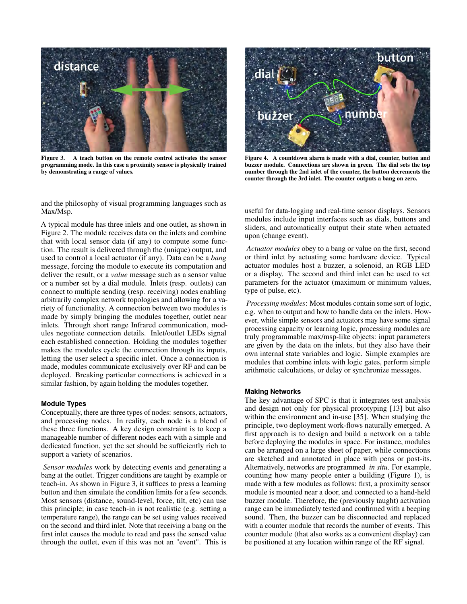

Figure 3. A teach button on the remote control activates the sensor programming mode. In this case a proximity sensor is physically trained by demonstrating a range of values.



Figure 4. A countdown alarm is made with a dial, counter, button and buzzer module. Connections are shown in green. The dial sets the top number through the 2nd inlet of the counter, the button decrements the counter through the 3rd inlet. The counter outputs a bang on zero.

<span id="page-2-0"></span>and the philosophy of visual programming languages such as Max/Msp.

A typical module has three inlets and one outlet, as shown in Figure [2.](#page-1-0) The module receives data on the inlets and combine that with local sensor data (if any) to compute some function. The result is delivered through the (unique) output, and used to control a local actuator (if any). Data can be a *bang* message, forcing the module to execute its computation and deliver the result, or a *value* message such as a sensor value or a number set by a dial module. Inlets (resp. outlets) can connect to multiple sending (resp. receiving) nodes enabling arbitrarily complex network topologies and allowing for a variety of functionality. A connection between two modules is made by simply bringing the modules together, outlet near inlets. Through short range Infrared communication, modules negotiate connection details. Inlet/outlet LEDs signal each established connection. Holding the modules together makes the modules cycle the connection through its inputs, letting the user select a specific inlet. Once a connection is made, modules communicate exclusively over RF and can be deployed. Breaking particular connections is achieved in a similar fashion, by again holding the modules together.

#### **Module Types**

Conceptually, there are three types of nodes: sensors, actuators, and processing nodes. In reality, each node is a blend of these three functions. A key design constraint is to keep a manageable number of different nodes each with a simple and dedicated function, yet the set should be sufficiently rich to support a variety of scenarios.

*Sensor modules* work by detecting events and generating a bang at the outlet. Trigger conditions are taught by example or teach-in. As shown in Figure [3,](#page-2-0) it suffices to press a learning button and then simulate the condition limits for a few seconds. Most sensors (distance, sound-level, force, tilt, etc) can use this principle; in case teach-in is not realistic (e.g. setting a temperature range), the range can be set using values received on the second and third inlet. Note that receiving a bang on the first inlet causes the module to read and pass the sensed value through the outlet, even if this was not an "event". This is

<span id="page-2-1"></span>useful for data-logging and real-time sensor displays. Sensors modules include input interfaces such as dials, buttons and sliders, and automatically output their state when actuated upon (change event).

*Actuator modules* obey to a bang or value on the first, second or third inlet by actuating some hardware device. Typical actuator modules host a buzzer, a solenoid, an RGB LED or a display. The second and third inlet can be used to set parameters for the actuator (maximum or minimum values, type of pulse, etc).

*Processing modules*: Most modules contain some sort of logic, e.g. when to output and how to handle data on the inlets. However, while simple sensors and actuators may have some signal processing capacity or learning logic, processing modules are truly programmable max/msp-like objects: input parameters are given by the data on the inlets, but they also have their own internal state variables and logic. Simple examples are modules that combine inlets with logic gates, perform simple arithmetic calculations, or delay or synchronize messages.

#### **Making Networks**

The key advantage of SPC is that it integrates test analysis and design not only for physical prototyping [\[13\]](#page-5-13) but also within the environment and in-use [\[35\]](#page-6-3). When studying the principle, two deployment work-flows naturally emerged. A first approach is to design and build a network on a table before deploying the modules in space. For instance, modules can be arranged on a large sheet of paper, while connections are sketched and annotated in place with pens or post-its. Alternatively, networks are programmed *in situ*. For example, counting how many people enter a building (Figure [1\)](#page-0-0), is made with a few modules as follows: first, a proximity sensor module is mounted near a door, and connected to a hand-held buzzer module. Therefore, the (previously taught) activation range can be immediately tested and confirmed with a beeping sound. Then, the buzzer can be disconnected and replaced with a counter module that records the number of events. This counter module (that also works as a convenient display) can be positioned at any location within range of the RF signal.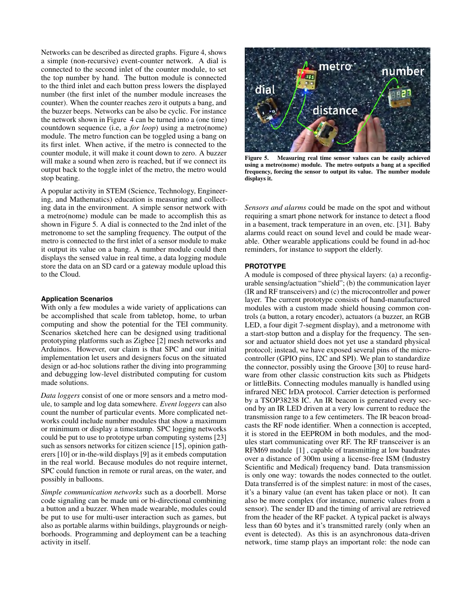Networks can be described as directed graphs. Figure [4,](#page-2-1) shows a simple (non-recursive) event-counter network. A dial is connected to the second inlet of the counter module, to set the top number by hand. The button module is connected to the third inlet and each button press lowers the displayed number (the first inlet of the number module increases the counter). When the counter reaches zero it outputs a bang, and the buzzer beeps. Networks can be also be cyclic. For instance the network shown in Figure [4](#page-2-1) can be turned into a (one time) countdown sequence (i.e, a *for loop*) using a metro(nome) module. The metro function can be toggled using a bang on its first inlet. When active, if the metro is connected to the counter module, it will make it count down to zero. A buzzer will make a sound when zero is reached, but if we connect its output back to the toggle inlet of the metro, the metro would stop beating.

A popular activity in STEM (Science, Technology, Engineering, and Mathematics) education is measuring and collecting data in the environment. A simple sensor network with a metro(nome) module can be made to accomplish this as shown in Figure [5.](#page-3-0) A dial is connected to the 2nd inlet of the metronome to set the sampling frequency. The output of the metro is connected to the first inlet of a sensor module to make it output its value on a bang. A number module could then displays the sensed value in real time, a data logging module store the data on an SD card or a gateway module upload this to the Cloud.

### **Application Scenarios**

With only a few modules a wide variety of applications can be accomplished that scale from tabletop, home, to urban computing and show the potential for the TEI community. Scenarios sketched here can be designed using traditional prototyping platforms such as Zigbee [\[2\]](#page-5-14) mesh networks and Arduinos. However, our claim is that SPC and our initial implementation let users and designers focus on the situated design or ad-hoc solutions rather the diving into programming and debugging low-level distributed computing for custom made solutions.

*Data loggers* consist of one or more sensors and a metro module, to sample and log data somewhere. *Event loggers* can also count the number of particular events. More complicated networks could include number modules that show a maximum or minimum or display a timestamp. SPC logging networks could be put to use to prototype urban computing systems [\[23\]](#page-6-12) such as sensors networks for citizen science [\[15\]](#page-5-15), opinion gatherers [\[10\]](#page-5-16) or in-the-wild displays [\[9\]](#page-5-17) as it embeds computation in the real world. Because modules do not require internet, SPC could function in remote or rural areas, on the water, and possibly in balloons.

*Simple communication networks* such as a doorbell. Morse code signaling can be made uni or bi-directional combining a button and a buzzer. When made wearable, modules could be put to use for multi-user interaction such as games, but also as portable alarms within buildings, playgrounds or neighborhoods. Programming and deployment can be a teaching activity in itself.



Figure 5. Measuring real time sensor values can be easily achieved using a metro(nome) module. The metro outputs a bang at a specified frequency, forcing the sensor to output its value. The number module displays it.

<span id="page-3-0"></span>*Sensors and alarms* could be made on the spot and without requiring a smart phone network for instance to detect a flood in a basement, track temperature in an oven, etc. [\[31\]](#page-6-13). Baby alarms could react on sound level and could be made wearable. Other wearable applications could be found in ad-hoc reminders, for instance to support the elderly.

## **PROTOTYPE**

A module is composed of three physical layers: (a) a reconfigurable sensing/actuation "shield"; (b) the communication layer (IR and RF transceivers) and (c) the microcontroller and power layer. The current prototype consists of hand-manufactured modules with a custom made shield housing common controls (a button, a rotary encoder), actuators (a buzzer, an RGB LED, a four digit 7-segment display), and a metronome with a start-stop button and a display for the frequency. The sensor and actuator shield does not yet use a standard physical protocol; instead, we have exposed several pins of the microcontroller (GPIO pins, I2C and SPI). We plan to standardize the connector, possibly using the Groove [\[30\]](#page-6-14) to reuse hardware from other classic construction kits such as Phidgets or littleBits. Connecting modules manually is handled using infrared NEC IrDA protocol. Carrier detection is performed by a TSOP38238 IC. An IR beacon is generated every second by an IR LED driven at a very low current to reduce the transmission range to a few centimeters. The IR beacon broadcasts the RF node identifier. When a connection is accepted, it is stored in the EEPROM in both modules, and the modules start communicating over RF. The RF transceiver is an RFM69 module [\[1\]](#page-5-18) , capable of transmitting at low baudrates over a distance of 300m using a license-free ISM (Industry Scientific and Medical) frequency band. Data transmission is only one way: towards the nodes connected to the outlet. Data transferred is of the simplest nature: in most of the cases, it's a binary value (an event has taken place or not). It can also be more complex (for instance, numeric values from a sensor). The sender ID and the timing of arrival are retrieved from the header of the RF packet. A typical packet is always less than 60 bytes and it's transmitted rarely (only when an event is detected). As this is an asynchronous data-driven network, time stamp plays an important role: the node can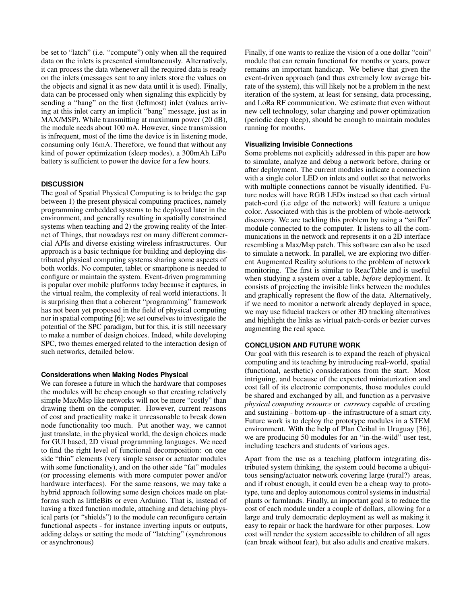be set to "latch" (i.e. "compute") only when all the required data on the inlets is presented simultaneously. Alternatively, it can process the data whenever all the required data is ready on the inlets (messages sent to any inlets store the values on the objects and signal it as new data until it is used). Finally, data can be processed only when signaling this explicitly by sending a "bang" on the first (leftmost) inlet (values arriving at this inlet carry an implicit "bang" message, just as in MAX/MSP). While transmitting at maximum power (20 dB), the module needs about 100 mA. However, since transmission is infrequent, most of the time the device is in listening mode, consuming only 16mA. Therefore, we found that without any kind of power optimization (sleep modes), a 300mAh LiPo battery is sufficient to power the device for a few hours.

## **DISCUSSION**

The goal of Spatial Physical Computing is to bridge the gap between 1) the present physical computing practices, namely programming embedded systems to be deployed later in the environment, and generally resulting in spatially constrained systems when teaching and 2) the growing reality of the Internet of Things, that nowadays rest on many different commercial APIs and diverse existing wireless infrastructures. Our approach is a basic technique for building and deploying distributed physical computing systems sharing some aspects of both worlds. No computer, tablet or smartphone is needed to configure or maintain the system. Event-driven programming is popular over mobile platforms today because it captures, in the virtual realm, the complexity of real world interactions. It is surprising then that a coherent "programming" framework has not been yet proposed in the field of physical computing nor in spatial computing [\[6\]](#page-5-19); we set ourselves to investigate the potential of the SPC paradigm, but for this, it is still necessary to make a number of design choices. Indeed, while developing SPC, two themes emerged related to the interaction design of such networks, detailed below.

#### **Considerations when Making Nodes Physical**

We can foresee a future in which the hardware that composes the modules will be cheap enough so that creating relatively simple Max/Msp like networks will not be more "costly" than drawing them on the computer. However, current reasons of cost and practicality make it unreasonable to break down node functionality too much. Put another way, we cannot just translate, in the physical world, the design choices made for GUI based, 2D visual programming languages. We need to find the right level of functional decomposition: on one side "thin" elements (very simple sensor or actuator modules with some functionality), and on the other side "fat" modules (or processing elements with more computer power and/or hardware interfaces). For the same reasons, we may take a hybrid approach following some design choices made on platforms such as littleBits or even Arduino. That is, instead of having a fixed function module, attaching and detaching physical parts (or "shields") to the module can reconfigure certain functional aspects - for instance inverting inputs or outputs, adding delays or setting the mode of "latching" (synchronous or asynchronous)

Finally, if one wants to realize the vision of a one dollar "coin" module that can remain functional for months or years, power remains an important handicap. We believe that given the event-driven approach (and thus extremely low average bitrate of the system), this will likely not be a problem in the next iteration of the system, at least for sensing, data processing, and LoRa RF communication. We estimate that even without new cell technology, solar charging and power optimization (periodic deep sleep), should be enough to maintain modules running for months.

### **Visualizing Invisible Connections**

Some problems not explicitly addressed in this paper are how to simulate, analyze and debug a network before, during or after deployment. The current modules indicate a connection with a single color LED on inlets and outlet so that networks with multiple connections cannot be visually identified. Future nodes will have RGB LEDs instead so that each virtual patch-cord (i.e edge of the network) will feature a unique color. Associated with this is the problem of whole-network discovery. We are tackling this problem by using a "sniffer" module connected to the computer. It listens to all the communications in the network and represents it on a 2D interface resembling a Max/Msp patch. This software can also be used to simulate a network. In parallel, we are exploring two different Augmented Reality solutions to the problem of network monitoring. The first is similar to ReacTable and is useful when studying a system over a table, *before* deployment. It consists of projecting the invisible links between the modules and graphically represent the flow of the data. Alternatively, if we need to monitor a network already deployed in space, we may use fiducial trackers or other 3D tracking alternatives and highlight the links as virtual patch-cords or bezier curves augmenting the real space.

## **CONCLUSION AND FUTURE WORK**

Our goal with this research is to expand the reach of physical computing and its teaching by introducing real-world, spatial (functional, aesthetic) considerations from the start. Most intriguing, and because of the expected miniaturization and cost fall of its electronic components, those modules could be shared and exchanged by all, and function as a pervasive *physical computing resource* or *currency* capable of creating and sustaining - bottom-up - the infrastructure of a smart city. Future work is to deploy the prototype modules in a STEM environment. With the help of Plan Ceibal in Uruguay [\[36\]](#page-6-15), we are producing 50 modules for an "in-the-wild" user test, including teachers and students of various ages.

Apart from the use as a teaching platform integrating distributed system thinking, the system could become a ubiquitous sensing/actuator network covering large (rural?) areas, and if robust enough, it could even be a cheap way to prototype, tune and deploy autonomous control systems in industrial plants or farmlands. Finally, an important goal is to reduce the cost of each module under a couple of dollars, allowing for a large and truly democratic deployment as well as making it easy to repair or hack the hardware for other purposes. Low cost will render the system accessible to children of all ages (can break without fear), but also adults and creative makers.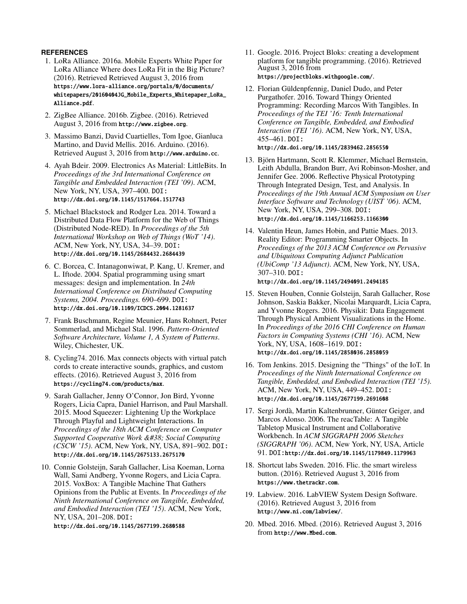## <span id="page-5-18"></span>**REFERENCES**

- 1. LoRa Alliance. 2016a. Mobile Experts White Paper for LoRa Alliance Where does LoRa Fit in the Big Picture? (2016). Retrieved Retrieved August 3, 2016 from [https://www.lora-alliance.org/portals/0/documents/](https://www.lora-alliance.org/portals/0/documents/whitepapers/20160404JG_Mobile_Experts_Whitepaper_LoRa_Alliance.pdf) [whitepapers/20160404JG\\_Mobile\\_Experts\\_Whitepaper\\_LoRa\\_](https://www.lora-alliance.org/portals/0/documents/whitepapers/20160404JG_Mobile_Experts_Whitepaper_LoRa_Alliance.pdf) [Alliance.pdf](https://www.lora-alliance.org/portals/0/documents/whitepapers/20160404JG_Mobile_Experts_Whitepaper_LoRa_Alliance.pdf).
- <span id="page-5-14"></span>2. ZigBee Alliance. 2016b. Zigbee. (2016). Retrieved August 3, 2016 from <http://www.zigbee.org>.
- <span id="page-5-0"></span>3. Massimo Banzi, David Cuartielles, Tom Igoe, Gianluca Martino, and David Mellis. 2016. Arduino. (2016). Retrieved August 3, 2016 from <http://www.arduino.cc>.
- <span id="page-5-4"></span>4. Ayah Bdeir. 2009. Electronics As Material: LittleBits. In *Proceedings of the 3rd International Conference on Tangible and Embedded Interaction (TEI '09)*. ACM, New York, NY, USA, 397–400. DOI: <http://dx.doi.org/10.1145/1517664.1517743>
- <span id="page-5-7"></span>5. Michael Blackstock and Rodger Lea. 2014. Toward a Distributed Data Flow Platform for the Web of Things (Distributed Node-RED). In *Proceedings of the 5th International Workshop on Web of Things (WoT '14)*. ACM, New York, NY, USA, 34–39. DOI: <http://dx.doi.org/10.1145/2684432.2684439>
- <span id="page-5-19"></span>6. C. Borcea, C. Intanagonwiwat, P. Kang, U. Kremer, and L. Iftode. 2004. Spatial programming using smart messages: design and implementation. In *24th International Conference on Distributed Computing Systems, 2004. Proceedings.* 690–699. DOI: <http://dx.doi.org/10.1109/ICDCS.2004.1281637>
- <span id="page-5-12"></span>7. Frank Buschmann, Regine Meunier, Hans Rohnert, Peter Sommerlad, and Michael Stal. 1996. *Pattern-Oriented Software Architecture, Volume 1, A System of Patterns*. Wiley, Chichester, UK.
- <span id="page-5-2"></span>8. Cycling74. 2016. Max connects objects with virtual patch cords to create interactive sounds, graphics, and custom effects. (2016). Retrieved August 3, 2016 from <https://cycling74.com/products/max>.
- <span id="page-5-17"></span>9. Sarah Gallacher, Jenny O'Connor, Jon Bird, Yvonne Rogers, Licia Capra, Daniel Harrison, and Paul Marshall. 2015. Mood Squeezer: Lightening Up the Workplace Through Playful and Lightweight Interactions. In *Proceedings of the 18th ACM Conference on Computer Supported Cooperative Work & Social Computing (CSCW '15)*. ACM, New York, NY, USA, 891–902. DOI: <http://dx.doi.org/10.1145/2675133.2675170>
- <span id="page-5-16"></span>10. Connie Golsteijn, Sarah Gallacher, Lisa Koeman, Lorna Wall, Sami Andberg, Yvonne Rogers, and Licia Capra. 2015. VoxBox: A Tangible Machine That Gathers Opinions from the Public at Events. In *Proceedings of the Ninth International Conference on Tangible, Embedded, and Embodied Interaction (TEI '15)*. ACM, New York, NY, USA, 201–208. DOI: <http://dx.doi.org/10.1145/2677199.2680588>
- <span id="page-5-5"></span>11. Google. 2016. Project Bloks: creating a development platform for tangible programming. (2016). Retrieved August 3, 2016 from <https://projectbloks.withgoogle.com/>.
- <span id="page-5-8"></span>12. Florian Güldenpfennig, Daniel Dudo, and Peter Purgathofer. 2016. Toward Thingy Oriented Programming: Recording Marcos With Tangibles. In *Proceedings of the TEI '16: Tenth International Conference on Tangible, Embedded, and Embodied Interaction (TEI '16)*. ACM, New York, NY, USA, 455–461. DOI:

### <http://dx.doi.org/10.1145/2839462.2856550>

- <span id="page-5-13"></span>13. Björn Hartmann, Scott R. Klemmer, Michael Bernstein, Leith Abdulla, Brandon Burr, Avi Robinson-Mosher, and Jennifer Gee. 2006. Reflective Physical Prototyping Through Integrated Design, Test, and Analysis. In *Proceedings of the 19th Annual ACM Symposium on User Interface Software and Technology (UIST '06)*. ACM, New York, NY, USA, 299–308. DOI: <http://dx.doi.org/10.1145/1166253.1166300>
- <span id="page-5-10"></span>14. Valentin Heun, James Hobin, and Pattie Maes. 2013. Reality Editor: Programming Smarter Objects. In *Proceedings of the 2013 ACM Conference on Pervasive and Ubiquitous Computing Adjunct Publication (UbiComp '13 Adjunct)*. ACM, New York, NY, USA, 307–310. DOI:

#### <http://dx.doi.org/10.1145/2494091.2494185>

- <span id="page-5-15"></span>15. Steven Houben, Connie Golsteijn, Sarah Gallacher, Rose Johnson, Saskia Bakker, Nicolai Marquardt, Licia Capra, and Yvonne Rogers. 2016. Physikit: Data Engagement Through Physical Ambient Visualizations in the Home. In *Proceedings of the 2016 CHI Conference on Human Factors in Computing Systems (CHI '16)*. ACM, New York, NY, USA, 1608–1619. DOI: <http://dx.doi.org/10.1145/2858036.2858059>
- <span id="page-5-6"></span>16. Tom Jenkins. 2015. Designing the "Things" of the IoT. In *Proceedings of the Ninth International Conference on Tangible, Embedded, and Embodied Interaction (TEI '15)*. ACM, New York, NY, USA, 449–452. DOI: <http://dx.doi.org/10.1145/2677199.2691608>
- <span id="page-5-11"></span>17. Sergi Jordà, Martin Kaltenbrunner, Günter Geiger, and Marcos Alonso. 2006. The reacTable: A Tangible Tabletop Musical Instrument and Collaborative Workbench. In *ACM SIGGRAPH 2006 Sketches (SIGGRAPH '06)*. ACM, New York, NY, USA, Article 91. DOI:<http://dx.doi.org/10.1145/1179849.1179963>
- <span id="page-5-9"></span>18. Shortcut labs Sweden. 2016. Flic. the smart wireless button. (2016). Retrieved August 3, 2016 from <https://www.thetrackr.com>.
- <span id="page-5-3"></span>19. Labview. 2016. LabVIEW System Design Software. (2016). Retrieved August 3, 2016 from <http://www.ni.com/labview/>.
- <span id="page-5-1"></span>20. Mbed. 2016. Mbed. (2016). Retrieved August 3, 2016 from <http://www.Mbed.com>.